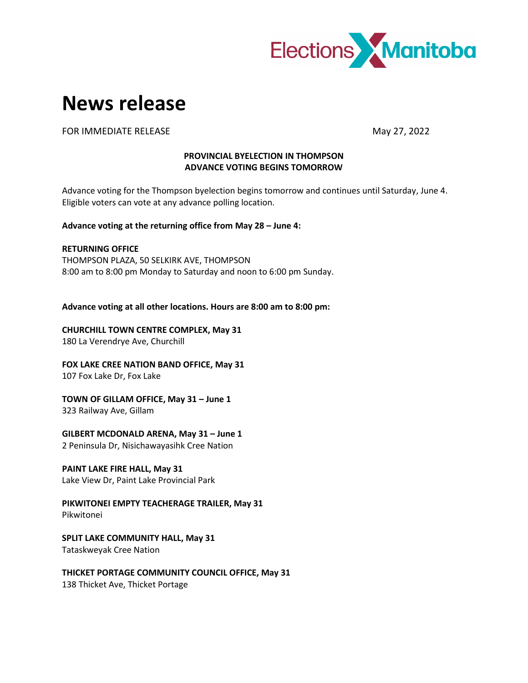

# **News release**

FOR IMMEDIATE RELEASE **May 27, 2022** 

## **PROVINCIAL BYELECTION IN THOMPSON ADVANCE VOTING BEGINS TOMORROW**

Advance voting for the Thompson byelection begins tomorrow and continues until Saturday, June 4. Eligible voters can vote at any advance polling location.

**Advance voting at the returning office from May 28 – June 4:**

**RETURNING OFFICE** THOMPSON PLAZA, 50 SELKIRK AVE, THOMPSON 8:00 am to 8:00 pm Monday to Saturday and noon to 6:00 pm Sunday.

**Advance voting at all other locations. Hours are 8:00 am to 8:00 pm:**

**CHURCHILL TOWN CENTRE COMPLEX, May 31** 180 La Verendrye Ave, Churchill

**FOX LAKE CREE NATION BAND OFFICE, May 31** 107 Fox Lake Dr, Fox Lake

**TOWN OF GILLAM OFFICE, May 31 – June 1**

323 Railway Ave, Gillam

**GILBERT MCDONALD ARENA, May 31 – June 1**

2 Peninsula Dr, Nisichawayasihk Cree Nation

**PAINT LAKE FIRE HALL, May 31**

Lake View Dr, Paint Lake Provincial Park

**PIKWITONEI EMPTY TEACHERAGE TRAILER, May 31** Pikwitonei

**SPLIT LAKE COMMUNITY HALL, May 31** Tataskweyak Cree Nation

**THICKET PORTAGE COMMUNITY COUNCIL OFFICE, May 31** 138 Thicket Ave, Thicket Portage